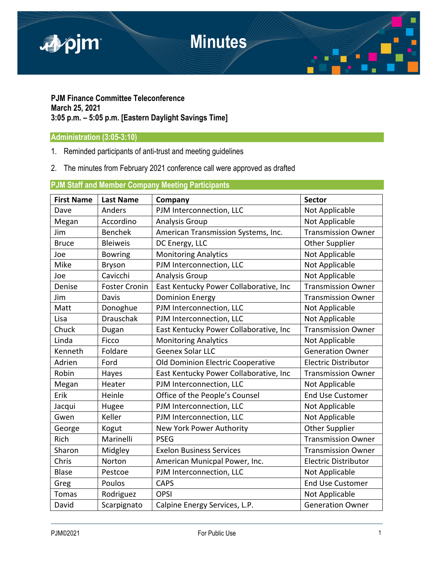

## **PJM Finance Committee Teleconference March 25, 2021 3:05 p.m. – 5:05 p.m. [Eastern Daylight Savings Time]**

# **Administration (3:05-3:10)**

- 1. Reminded participants of anti-trust and meeting guidelines
- 2. The minutes from February 2021 conference call were approved as drafted

# **PJM Staff and Member Company Meeting Participants**

| <b>First Name</b> | <b>Last Name</b>     | Company                                | <b>Sector</b>               |
|-------------------|----------------------|----------------------------------------|-----------------------------|
| Dave              | Anders               | PJM Interconnection, LLC               | Not Applicable              |
| Megan             | Accordino            | <b>Analysis Group</b>                  | Not Applicable              |
| Jim               | <b>Benchek</b>       | American Transmission Systems, Inc.    | <b>Transmission Owner</b>   |
| <b>Bruce</b>      | <b>Bleiweis</b>      | DC Energy, LLC                         | <b>Other Supplier</b>       |
| Joe               | <b>Bowring</b>       | <b>Monitoring Analytics</b>            | Not Applicable              |
| Mike              | <b>Bryson</b>        | PJM Interconnection, LLC               | Not Applicable              |
| Joe               | Cavicchi             | <b>Analysis Group</b>                  | Not Applicable              |
| Denise            | <b>Foster Cronin</b> | East Kentucky Power Collaborative, Inc | <b>Transmission Owner</b>   |
| Jim               | Davis                | <b>Dominion Energy</b>                 | <b>Transmission Owner</b>   |
| Matt              | Donoghue             | PJM Interconnection, LLC               | Not Applicable              |
| Lisa              | <b>Drauschak</b>     | PJM Interconnection, LLC               | Not Applicable              |
| Chuck             | Dugan                | East Kentucky Power Collaborative, Inc | <b>Transmission Owner</b>   |
| Linda             | Ficco                | <b>Monitoring Analytics</b>            | Not Applicable              |
| Kenneth           | Foldare              | Geenex Solar LLC                       | <b>Generation Owner</b>     |
| Adrien            | Ford                 | Old Dominion Electric Cooperative      | <b>Electric Distributor</b> |
| Robin             | Hayes                | East Kentucky Power Collaborative, Inc | <b>Transmission Owner</b>   |
| Megan             | Heater               | PJM Interconnection, LLC               | Not Applicable              |
| Erik              | Heinle               | Office of the People's Counsel         | <b>End Use Customer</b>     |
| Jacqui            | Hugee                | PJM Interconnection, LLC               | Not Applicable              |
| Gwen              | Keller               | PJM Interconnection, LLC               | Not Applicable              |
| George            | Kogut                | New York Power Authority               | <b>Other Supplier</b>       |
| Rich              | Marinelli            | <b>PSEG</b>                            | <b>Transmission Owner</b>   |
| Sharon            | Midgley              | <b>Exelon Business Services</b>        | <b>Transmission Owner</b>   |
| Chris             | Norton               | American Municpal Power, Inc.          | <b>Electric Distributor</b> |
| <b>Blase</b>      | Pestcoe              | PJM Interconnection, LLC               | Not Applicable              |
| Greg              | Poulos               | <b>CAPS</b>                            | <b>End Use Customer</b>     |
| <b>Tomas</b>      | Rodriguez            | <b>OPSI</b>                            | Not Applicable              |
| David             | Scarpignato          | Calpine Energy Services, L.P.          | <b>Generation Owner</b>     |